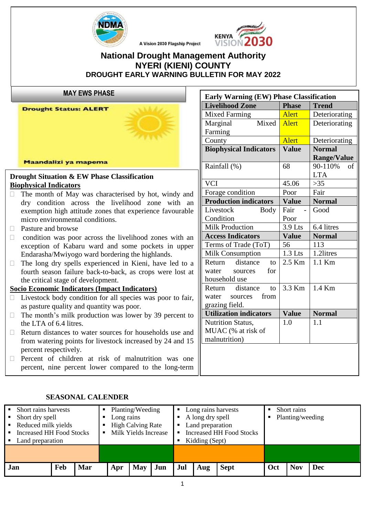

## **National Drought Management Authority NYERI (KIENI) COUNTY DROUGHT EARLY WARNING BULLETIN FOR MAY 2022**

A Vision 2030 Flagship Project

**MAY EWS PHASE**

**Drought Status: ALERT** 



Maandalizi ya mapema

#### **Drought Situation & EW Phase Classification Biophysical Indicators**

- $\Box$  The month of May was characterised by hot, windy and dry condition across the livelihood zone with an exemption high attitude zones that experience favourable micro environmental conditions.
- □ Pasture and browse

average.

- $\Box$  condition was poor across the livelihood zones with an exception of Kabaru ward and some pockets in upper Endarasha/Mwiyogo ward bordering the highlands.
- $\Box$  The long dry spells experienced in Kieni, have led to a fourth season failure back-to-back, as crops were lost at the critical stage of development.

#### **Socio Economic Indicators (Impact Indicators)**

- $\Box$  Livestock body condition for all species was poor to fair, as pasture quality and quantity was poor.
- $\Box$  The month's milk production was lower by 39 percent to the LTA of 6.4 litres.
- $\Box$  Return distances to water sources for households use and from watering points for livestock increased by 24 and 15 percent respectively.
- $\Box$  Percent of children at risk of malnutrition was one percent, nine percent lower compared to the long-term

| <b>Early Warning (EW) Phase Classification</b> |              |                    |  |  |  |  |
|------------------------------------------------|--------------|--------------------|--|--|--|--|
| <b>Livelihood Zone</b>                         | <b>Phase</b> | <b>Trend</b>       |  |  |  |  |
| <b>Mixed Farming</b>                           | <b>Alert</b> | Deteriorating      |  |  |  |  |
| Mixed<br>Marginal                              | <b>Alert</b> | Deteriorating      |  |  |  |  |
| Farming                                        |              |                    |  |  |  |  |
| County                                         | <b>Alert</b> | Deteriorating      |  |  |  |  |
| <b>Biophysical Indicators</b>                  | <b>Value</b> | <b>Normal</b>      |  |  |  |  |
|                                                |              | <b>Range/Value</b> |  |  |  |  |
| Rainfall (%)                                   | 68           | 90-110%<br>of      |  |  |  |  |
|                                                |              | <b>LTA</b>         |  |  |  |  |
| <b>VCI</b>                                     | 45.06        | $>35$              |  |  |  |  |
| Forage condition                               | Poor         | Fair               |  |  |  |  |
| <b>Production indicators</b>                   | <b>Value</b> | <b>Normal</b>      |  |  |  |  |
| Livestock<br><b>Body</b>                       | Fair         | Good               |  |  |  |  |
| Condition                                      | Poor         |                    |  |  |  |  |
| <b>Milk Production</b>                         | 3.9 Lts      | 6.4 litres         |  |  |  |  |
| <b>Access Indicators</b>                       | <b>Value</b> | <b>Normal</b>      |  |  |  |  |
| Terms of Trade (ToT)                           | 56           | 113                |  |  |  |  |
| <b>Milk Consumption</b>                        | $1.3$ Lts    | 1.2litres          |  |  |  |  |
| distance<br>Return<br>to                       | 2.5 Km       | $1.1$ Km           |  |  |  |  |
| for<br>water<br>sources                        |              |                    |  |  |  |  |
| household use                                  |              |                    |  |  |  |  |
| distance<br>Return<br>to                       | 3.3 Km       | $1.4$ Km           |  |  |  |  |
| from<br>water<br>sources                       |              |                    |  |  |  |  |
| grazing field.                                 |              |                    |  |  |  |  |
| <b>Utilization indicators</b>                  | <b>Value</b> | <b>Normal</b>      |  |  |  |  |
| <b>Nutrition Status,</b>                       | 1.0          | 1.1                |  |  |  |  |
| MUAC (% at risk of                             |              |                    |  |  |  |  |
| malnutrition)                                  |              |                    |  |  |  |  |

|                                            | • Short rains harvests |                          |     |                                 | Planting/Weeding |                  | Long rains harvests<br>$\blacksquare$ |     | Short rains |     |            |     |                  |  |
|--------------------------------------------|------------------------|--------------------------|-----|---------------------------------|------------------|------------------|---------------------------------------|-----|-------------|-----|------------|-----|------------------|--|
|                                            | • Short dry spell      |                          |     | Long rains                      |                  | A long dry spell |                                       |     |             |     |            |     | Planting/weeding |  |
| • Reduced milk yields                      |                        | <b>High Calving Rate</b> |     | Land preparation<br>٠           |                  |                  |                                       |     |             |     |            |     |                  |  |
| Increased HH Food Stocks<br>$\blacksquare$ |                        | Milk Yields Increase     |     | <b>Increased HH Food Stocks</b> |                  |                  |                                       |     |             |     |            |     |                  |  |
| • Land preparation                         |                        |                          |     | Kidding (Sept)                  |                  |                  |                                       |     |             |     |            |     |                  |  |
|                                            |                        |                          |     |                                 |                  |                  |                                       |     |             |     |            |     |                  |  |
|                                            |                        |                          |     |                                 |                  |                  |                                       |     |             |     |            |     |                  |  |
| <b>Jan</b>                                 |                        | Feb                      | Mar | Apr                             | <b>May</b>       | Jun              | Jul                                   | Aug | <b>Sept</b> | Oct | <b>Nov</b> | Dec |                  |  |

#### **SEASONAL CALENDER**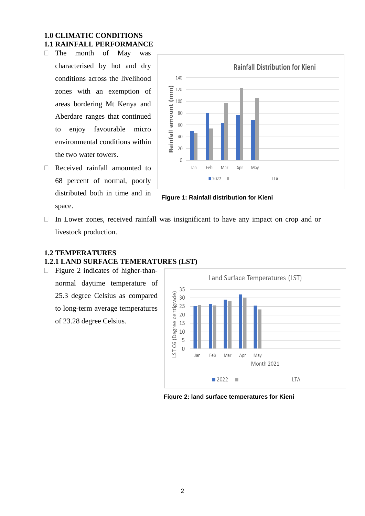## **1.0 CLIMATIC CONDITIONS 1.1 RAINFALL PERFORMANCE**

- The month of May was characterised by hot and dry conditions across the livelihood zones with an exemption of areas bordering Mt Kenya and Aberdare ranges that continued to enjoy favourable micro environmental conditions within the two water towers.
- Received rainfall amounted to 68 percent of normal, poorly distributed both in time and in space.



**Figure 1: Rainfall distribution for Kieni**

 $\Box$  In Lower zones, received rainfall was insignificant to have any impact on crop and or livestock production.

## **1.2 TEMPERATURES 1.2.1 LAND SURFACE TEMERATURES (LST)**

 Figure 2 indicates of higher-thannormal daytime temperature of 25.3 degree Celsius as compared to long-term average temperatures of 23.28 degree Celsius.



**Figure 2: land surface temperatures for Kieni**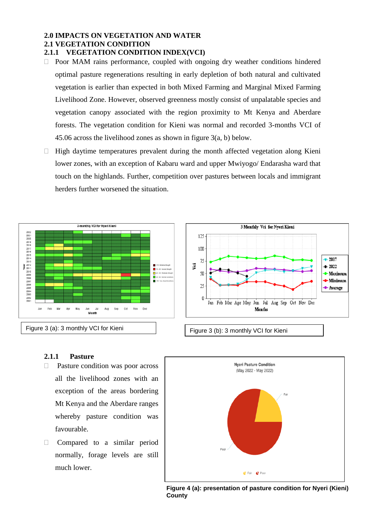## **2.0 IMPACTS ON VEGETATION AND WATER 2.1 VEGETATION CONDITION**

### **2.1.1 VEGETATION CONDITION INDEX(VCI)**

- $\Box$  Poor MAM rains performance, coupled with ongoing dry weather conditions hindered optimal pasture regenerations resulting in early depletion of both natural and cultivated vegetation is earlier than expected in both Mixed Farming and Marginal Mixed Farming Livelihood Zone. However, observed greenness mostly consist of unpalatable species and vegetation canopy associated with the region proximity to Mt Kenya and Aberdare forests. The vegetation condition for Kieni was normal and recorded 3-months VCI of 45.06 across the livelihood zones as shown in figure 3(a, b) below.
- $\Box$  High daytime temperatures prevalent during the month affected vegetation along Kieni lower zones, with an exception of Kabaru ward and upper Mwiyogo/ Endarasha ward that touch on the highlands. Further, competition over pastures between locals and immigrant herders further worsened the situation.



### **2.1.1 Pasture**

- □ Pasture condition was poor across all the livelihood zones with an exception of the areas bordering Mt Kenya and the Aberdare ranges whereby pasture condition was favourable.
- **Compared to a similar period** normally, forage levels are still much lower.





3 **Figure 4 (a): presentation of pasture condition for Nyeri (Kieni) County**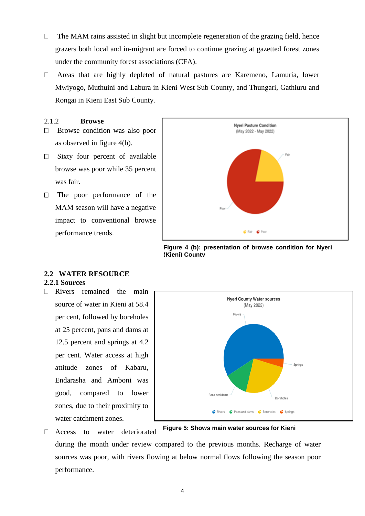- $\Box$  The MAM rains assisted in slight but incomplete regeneration of the grazing field, hence grazers both local and in-migrant are forced to continue grazing at gazetted forest zones under the community forest associations (CFA).
- Areas that are highly depleted of natural pastures are Karemeno, Lamuria, lower Mwiyogo, Muthuini and Labura in Kieni West Sub County, and Thungari, Gathiuru and Rongai in Kieni East Sub County.

#### 2.1.2 **Browse**

- □ Browse condition was also poor as observed in figure 4(b).
- $\Box$  Sixty four percent of available browse was poor while 35 percent was fair.
- $\Box$  The poor performance of the MAM season will have a negative impact to conventional browse performance trends.



**Figure 4 (b): presentation of browse condition for Nyeri (Kieni) County**

#### **2.2 WATER RESOURCE 2.2.1 Sources**

 $\Box$  Rivers remained the main source of water in Kieni at 58.4 per cent, followed by boreholes at 25 percent, pans and dams at 12.5 percent and springs at 4.2 per cent. Water access at high attitude zones of Kabaru, Endarasha and Amboni was good, compared to lower zones, due to their proximity to water catchment zones.

Access to water deteriorated



**Figure 5: Shows main water sources for Kieni**

during the month under review compared to the previous months. Recharge of water sources was poor, with rivers flowing at below normal flows following the season poor performance.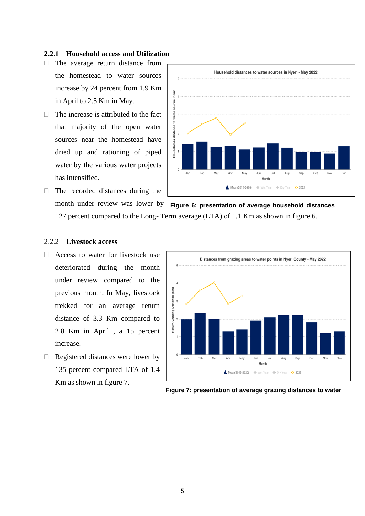#### **2.2.1 Household access and Utilization**

- $\Box$  The average return distance from the homestead to water sources increase by 24 percent from 1.9 Km in April to 2.5 Km in May.
- $\Box$  The increase is attributed to the fact that majority of the open water sources near the homestead have dried up and rationing of piped water by the various water projects has intensified.
- $\Box$  The recorded distances during the



month under review was lower by **Figure 6: presentation of average household distances** 127 percent compared to the Long- Term average (LTA) of 1.1 Km as shown in figure 6.

#### 2.2.2 **Livestock access**

- □ Access to water for livestock use deteriorated during the month under review compared to the previous month. In May, livestock trekked for an average return distance of 3.3 Km compared to 2.8 Km in April , a 15 percent increase.
- $\Box$  Registered distances were lower by 135 percent compared LTA of 1.4 Km as shown in figure 7.



**Figure 7: presentation of average grazing distances to water**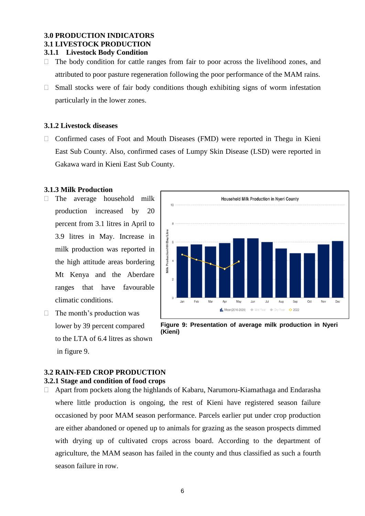## **3.0 PRODUCTION INDICATORS 3.1 LIVESTOCK PRODUCTION**

#### **3.1.1 Livestock Body Condition**

- $\Box$  The body condition for cattle ranges from fair to poor across the livelihood zones, and attributed to poor pasture regeneration following the poor performance of the MAM rains.
- $\Box$  Small stocks were of fair body conditions though exhibiting signs of worm infestation particularly in the lower zones.

#### **3.1.2 Livestock diseases**

 $\Box$  Confirmed cases of Foot and Mouth Diseases (FMD) were reported in Thegu in Kieni East Sub County. Also, confirmed cases of Lumpy Skin Disease (LSD) were reported in Gakawa ward in Kieni East Sub County.

#### **3.1.3 Milk Production**

- The average household milk production increased by 20 percent from 3.1 litres in April to 3.9 litres in May. Increase in milk production was reported in the high attitude areas bordering Mt Kenya and the Aberdare ranges that have favourable climatic conditions.
- $\Box$  The month's production was lower by 39 percent compared to the LTA of 6.4 litres as shown in figure 9.



**Figure 9: Presentation of average milk production in Nyeri (Kieni)**

## **3.2 RAIN-FED CROP PRODUCTION**

#### **3.2.1 Stage and condition of food crops**

 $\Box$  Apart from pockets along the highlands of Kabaru, Narumoru-Kiamathaga and Endarasha where little production is ongoing, the rest of Kieni have registered season failure occasioned by poor MAM season performance. Parcels earlier put under crop production are either abandoned or opened up to animals for grazing as the season prospects dimmed with drying up of cultivated crops across board. According to the department of agriculture, the MAM season has failed in the county and thus classified as such a fourth season failure in row.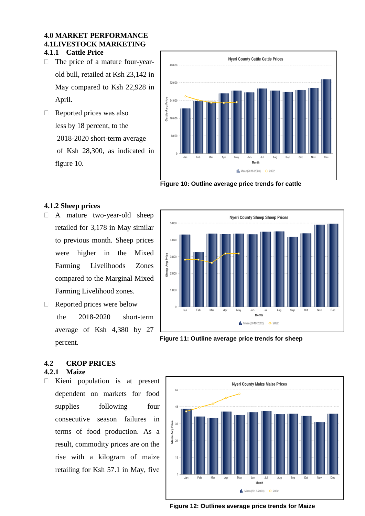#### **4.0 MARKET PERFORMANCE 4.1LIVESTOCK MARKETING 4.1.1 Cattle Price**

- □ The price of a mature four-yearold bull, retailed at Ksh 23,142 in May compared to Ksh 22,928 in April.
- $\Box$  Reported prices was also less by 18 percent, to the 2018-2020 short-term average of Ksh 28,300, as indicated in figure 10.



**Figure 10: Outline average price trends for cattle**

#### **4.1.2 Sheep prices**

- A mature two-year-old sheep retailed for 3,178 in May similar to previous month. Sheep prices were higher in the Mixed Farming Livelihoods Zones compared to the Marginal Mixed Farming Livelihood zones.
- Reported prices were below the 2018-2020 short-term average of Ksh 4,380 by 27 percent.



**Figure 11: Outline average price trends for sheep**

# **4.2 CROP PRICES**

#### **4.2.1 Maize**

 $\Box$  Kieni population is at present dependent on markets for food supplies following four consecutive season failures in terms of food production. As a result, commodity prices are on the rise with a kilogram of maize retailing for Ksh 57.1 in May, five



**Figure 12: Outlines average price trends for Maize**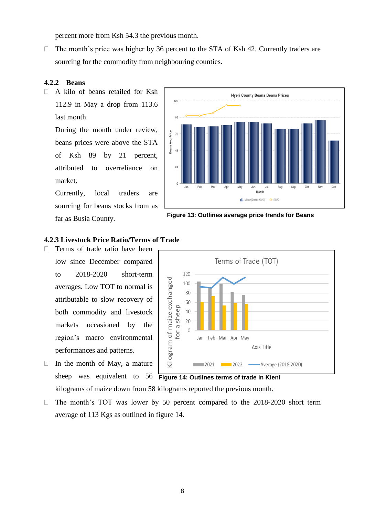percent more from Ksh 54.3 the previous month.

 $\Box$  The month's price was higher by 36 percent to the STA of Ksh 42. Currently traders are sourcing for the commodity from neighbouring counties.

#### **4.2.2 Beans**

 $\Box$  A kilo of beans retailed for Ksh 112.9 in May a drop from 113.6 last month.

During the month under review, beans prices were above the STA of Ksh 89 by 21 percent, attributed to overreliance on market.

Currently, local traders are sourcing for beans stocks from as far as Busia County.



**Figure 13: Outlines average price trends for Beans**

#### **4.2.3 Livestock Price Ratio/Terms of Trade**

- $\Box$  Terms of trade ratio have been low since December compared to 2018-2020 short-term averages. Low TOT to normal is attributable to slow recovery of both commodity and livestock markets occasioned by the region's macro environmental performances and patterns.
- sheep was equivalent to 56 Figure 14: Outlines terms of trade in Kieni  $\Box$  In the month of May, a mature

Terms of Trade (TOT) 120 Kilogram of maize exchanged 100 80 60 a sheep 40  $20$  $\overline{0}$ for Jan Feb Mar Apr May Axis Title  $\boxed{\qquad}$  $2022 =$ Average (2018-2020)

kilograms of maize down from 58 kilograms reported the previous month.

 $\Box$  The month's TOT was lower by 50 percent compared to the 2018-2020 short term average of 113 Kgs as outlined in figure 14.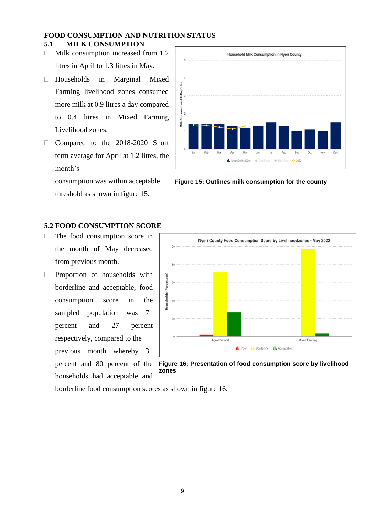#### **FOOD CONSUMPTION AND NUTRITION STATUS 5.1 MILK CONSUMPTION**

- $\Box$  Milk consumption increased from 1.2 litres in April to 1.3 litres in May.
- Households in Marginal Mixed Farming livelihood zones consumed more milk at 0.9 litres a day compared to 0.4 litres in Mixed Farming Livelihood zones.
- Compared to the 2018-2020 Short term average for April at 1.2 litres, the month's

consumption was within acceptable threshold as shown in figure 15.

## **5.2 FOOD CONSUMPTION SCORE**

- The food consumption score in the month of May decreased from previous month.
- **Proportion of households with** borderline and acceptable, food consumption score in the sampled population was 71 percent and 27 percent respectively, compared to the previous month whereby 31 percent and 80 percent of the households had acceptable and



**Figure 15: Outlines milk consumption for the county**



**Figure 16: Presentation of food consumption score by livelihood zones**

borderline food consumption scores as shown in figure 16.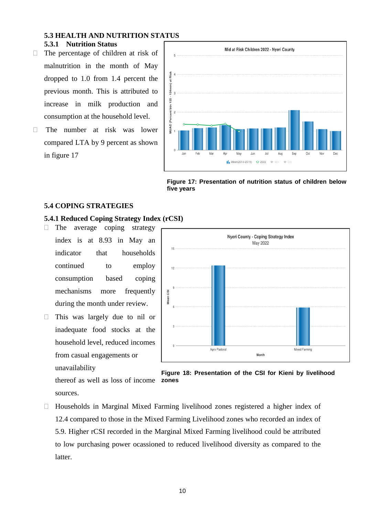## **5.3 HEALTH AND NUTRITION STATUS 5.3.1 Nutrition Status**

- $\Box$  The percentage of children at risk of malnutrition in the month of May dropped to 1.0 from 1.4 percent the previous month. This is attributed to increase in milk production and consumption at the household level.
- The number at risk was lower compared LTA by 9 percent as shown in figure 17



**Figure 17: Presentation of nutrition status of children below five years**

#### **5.4 COPING STRATEGIES**

#### **5.4.1 Reduced Coping Strategy Index (rCSI)**

- $\Box$  The average coping strategy index is at 8.93 in May an indicator that households continued to employ consumption based coping mechanisms more frequently during the month under review.
- This was largely due to nil or inadequate food stocks at the household level, reduced incomes from casual engagements or unavailability





**zones** thereof as well as loss of income sources.

 Households in Marginal Mixed Farming livelihood zones registered a higher index of 12.4 compared to those in the Mixed Farming Livelihood zones who recorded an index of 5.9. Higher rCSI recorded in the Marginal Mixed Farming livelihood could be attributed to low purchasing power ocassioned to reduced livelihood diversity as compared to the latter.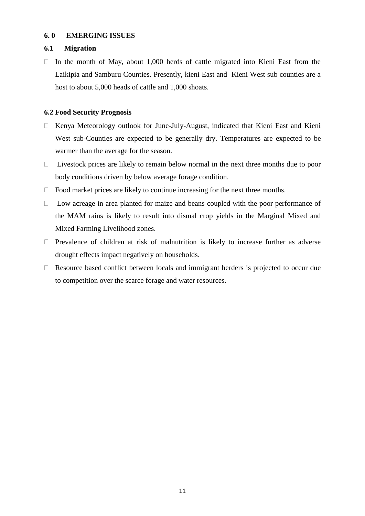#### **6. 0 EMERGING ISSUES**

#### **6.1 Migration**

 $\Box$  In the month of May, about 1,000 herds of cattle migrated into Kieni East from the Laikipia and Samburu Counties. Presently, kieni East and Kieni West sub counties are a host to about 5,000 heads of cattle and 1,000 shoats.

#### **6.2 Food Security Prognosis**

- $\Box$  Kenya Meteorology outlook for June-July-August, indicated that Kieni East and Kieni West sub-Counties are expected to be generally dry. Temperatures are expected to be warmer than the average for the season.
- $\Box$  Livestock prices are likely to remain below normal in the next three months due to poor body conditions driven by below average forage condition.
- $\Box$  Food market prices are likely to continue increasing for the next three months.
- $\Box$  Low acreage in area planted for maize and beans coupled with the poor performance of the MAM rains is likely to result into dismal crop yields in the Marginal Mixed and Mixed Farming Livelihood zones.
- $\Box$  Prevalence of children at risk of malnutrition is likely to increase further as adverse drought effects impact negatively on households.
- $\Box$  Resource based conflict between locals and immigrant herders is projected to occur due to competition over the scarce forage and water resources.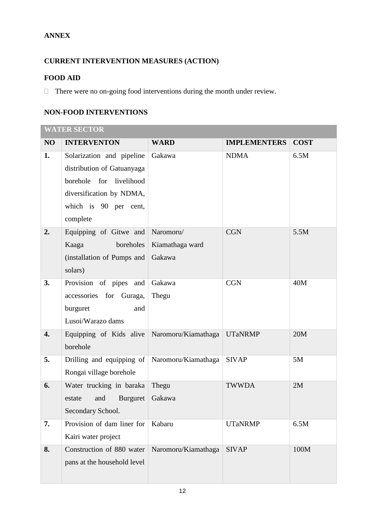## **ANNEX**

# **CURRENT INTERVENTION MEASURES (ACTION)**

## **FOOD AID**

 $\Box$  There were no on-going food interventions during the month under review.

## **NON-FOOD INTERVENTIONS**

|    | <b>WATER SECTOR</b>                                                                                                                                    |                                        |                     |             |  |  |  |  |
|----|--------------------------------------------------------------------------------------------------------------------------------------------------------|----------------------------------------|---------------------|-------------|--|--|--|--|
| NO | <b>INTERVENTON</b>                                                                                                                                     | <b>WARD</b>                            | <b>IMPLEMENTERS</b> | <b>COST</b> |  |  |  |  |
| 1. | Solarization and pipeline<br>distribution of Gatuanyaga<br>borehole<br>for livelihood<br>diversification by NDMA,<br>which is 90 per cent,<br>complete | Gakawa                                 | <b>NDMA</b>         | 6.5M        |  |  |  |  |
| 2. | Equipping of Gitwe and<br>Kaaga<br>boreholes<br>(installation of Pumps and<br>solars)                                                                  | Naromoru/<br>Kiamathaga ward<br>Gakawa | <b>CGN</b>          | 5.5M        |  |  |  |  |
| 3. | Provision of pipes and<br>accessories for Guraga,<br>burguret<br>and<br>Lusoi/Warazo dams                                                              | Gakawa<br>Thegu                        | <b>CGN</b>          | 40M         |  |  |  |  |
| 4. | Equipping of Kids alive<br>borehole                                                                                                                    | Naromoru/Kiamathaga                    | <b>UTaNRMP</b>      | 20M         |  |  |  |  |
| 5. | Drilling and equipping of   Naromoru/Kiamathaga<br>Rongai village borehole                                                                             |                                        | <b>SIVAP</b>        | 5M          |  |  |  |  |
| 6. | Water trucking in baraka<br>estate and Burguret Gakawa<br>Secondary School.                                                                            | Thegu                                  | <b>TWWDA</b>        | 2M          |  |  |  |  |
| 7. | Provision of dam liner for   Kabaru<br>Kairi water project                                                                                             |                                        | <b>UTaNRMP</b>      | 6.5M        |  |  |  |  |
| 8. | Construction of 880 water<br>pans at the household level                                                                                               | Naromoru/Kiamathaga                    | <b>SIVAP</b>        | 100M        |  |  |  |  |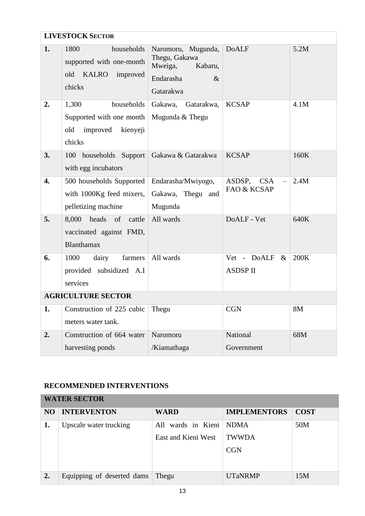|                  | <b>LIVESTOCK SECTOR</b>                                                                  |                                                                                             |                                       |      |  |  |  |  |
|------------------|------------------------------------------------------------------------------------------|---------------------------------------------------------------------------------------------|---------------------------------------|------|--|--|--|--|
| 1.               | households<br>1800<br>supported with one-month<br>old<br>KALRO improved<br>chicks        | Naromoru, Mugunda,<br>Thegu, Gakawa<br>Mweiga,<br>Kabaru,<br>Endarasha<br>$\&$<br>Gatarakwa | <b>DoALF</b>                          | 5.2M |  |  |  |  |
| 2.               | 1,300<br>households<br>Supported with one month<br>old<br>improved<br>kienyeji<br>chicks | Gakawa, Gatarakwa,<br>Mugunda & Thegu                                                       | <b>KCSAP</b>                          | 4.1M |  |  |  |  |
| 3.               | 100 households Support<br>with egg incubators                                            | Gakawa & Gatarakwa                                                                          | <b>KCSAP</b>                          | 160K |  |  |  |  |
| $\overline{4}$ . | 500 households Supported<br>with 1000Kg feed mixers,<br>pelletizing machine              | Endarasha/Mwiyogo,<br>Gakawa, Thegu and<br>Mugunda                                          | ASDSP,<br><b>CSA</b><br>FAO & KCSAP   | 2.4M |  |  |  |  |
| 5.               | 8,000 heads of cattle<br>vaccinated against FMD,<br>Blanthamax                           | All wards                                                                                   | DoALF - Vet                           | 640K |  |  |  |  |
| 6.               | 1000<br>farmers<br>dairy<br>provided subsidized A.I<br>services                          | All wards                                                                                   | Vet - DoALF<br>$\&$<br><b>ASDSPII</b> | 200K |  |  |  |  |
|                  | <b>AGRICULTURE SECTOR</b>                                                                |                                                                                             |                                       |      |  |  |  |  |
| 1.               | Construction of 225 cubic<br>meters water tank.                                          | Thegu                                                                                       | <b>CGN</b>                            | 8M   |  |  |  |  |
| 2.               | Construction of 664 water<br>harvesting ponds                                            | Naromoru<br>/Kiamathaga                                                                     | National<br>Government                | 68M  |  |  |  |  |

# **RECOMMENDED INTERVENTIONS**

| <b>WATER SECTOR</b> |                            |                                           |                                    |             |  |  |  |
|---------------------|----------------------------|-------------------------------------------|------------------------------------|-------------|--|--|--|
| NO.                 | <b>INTERVENTON</b>         | <b>WARD</b>                               | <b>IMPLEMENTORS</b>                | <b>COST</b> |  |  |  |
| 1.                  | Upscale water trucking     | All wards in Kieni<br>East and Kieni West | NDMA<br><b>TWWDA</b><br><b>CGN</b> | 50M         |  |  |  |
| 2.                  | Equipping of deserted dams | Thegu                                     | <b>UTaNRMP</b>                     | 15M         |  |  |  |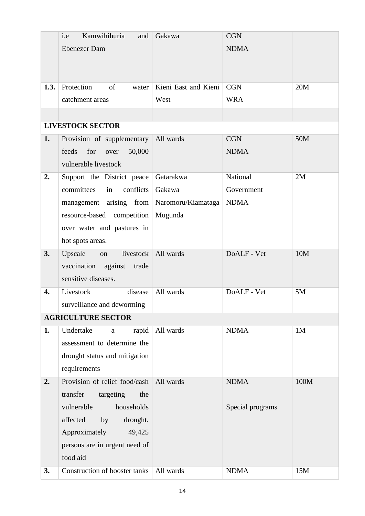|                  | i.e<br>Kamwihihuria<br>and     | Gakawa               | <b>CGN</b>       |      |
|------------------|--------------------------------|----------------------|------------------|------|
|                  | <b>Ebenezer Dam</b>            |                      | <b>NDMA</b>      |      |
|                  |                                |                      |                  |      |
|                  |                                |                      |                  |      |
| 1.3.             | Protection<br>of<br>water      | Kieni East and Kieni | <b>CGN</b>       | 20M  |
|                  | catchment areas                | West                 | <b>WRA</b>       |      |
|                  |                                |                      |                  |      |
|                  | <b>LIVESTOCK SECTOR</b>        |                      |                  |      |
| 1.               | Provision of supplementary     | All wards            | <b>CGN</b>       | 50M  |
|                  | feeds<br>for<br>over<br>50,000 |                      | <b>NDMA</b>      |      |
|                  | vulnerable livestock           |                      |                  |      |
| 2.               | Support the District peace     | Gatarakwa            | National         | 2M   |
|                  | conflicts<br>committees<br>in  | Gakawa               | Government       |      |
|                  |                                |                      |                  |      |
|                  | management arising from        | Naromoru/Kiamataga   | <b>NDMA</b>      |      |
|                  | resource-based competition     | Mugunda              |                  |      |
|                  | over water and pastures in     |                      |                  |      |
|                  | hot spots areas.               |                      |                  |      |
| 3.               | livestock<br>Upscale<br>on     | All wards            | DoALF - Vet      | 10M  |
|                  | vaccination against<br>trade   |                      |                  |      |
|                  | sensitive diseases.            |                      |                  |      |
| $\overline{4}$ . | Livestock<br>disease           | All wards            | DoALF - Vet      | 5M   |
|                  | surveillance and deworming     |                      |                  |      |
|                  | <b>AGRICULTURE SECTOR</b>      |                      |                  |      |
| 1.               | Undertake<br>rapid<br>$\rm{a}$ | All wards            | <b>NDMA</b>      | 1M   |
|                  | assessment to determine the    |                      |                  |      |
|                  | drought status and mitigation  |                      |                  |      |
|                  | requirements                   |                      |                  |      |
| 2.               | Provision of relief food/cash  | All wards            | <b>NDMA</b>      | 100M |
|                  | transfer<br>targeting<br>the   |                      |                  |      |
|                  | vulnerable<br>households       |                      | Special programs |      |
|                  | affected<br>drought.<br>by     |                      |                  |      |
|                  | Approximately<br>49,425        |                      |                  |      |
|                  | persons are in urgent need of  |                      |                  |      |
|                  | food aid                       |                      |                  |      |
| 3.               | Construction of booster tanks  | All wards            | <b>NDMA</b>      | 15M  |